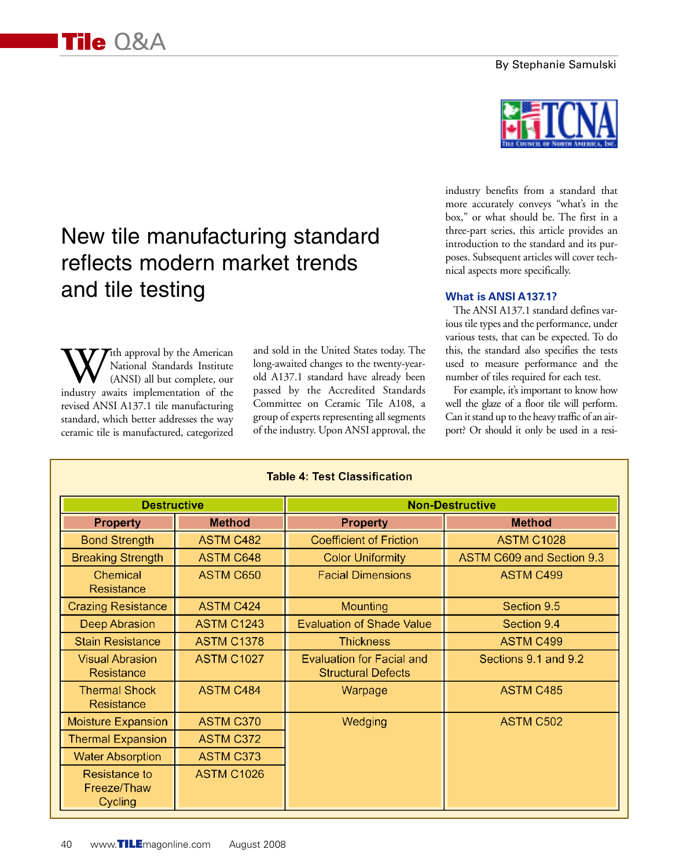### By Stephanie Samulski

# New tile manufacturing standard reflects modern market trends and tile testing

With approval by the American<br>
(ANSI) all but complete, our<br>
industry awaits implementation of the National Standards Institute (ANSI) all but complete, our revised ANSI A137.1 tile manufacturing standard, which better addresses the way ceramic tile is manufactured, categorized and sold in the United States today. The long-awaited changes to the twenty-yearold A137.1 standard have already been passed by the Accredited Standards Committee on Ceramic Tile A108, a group of experts representing all segments of the industry. Upon ANSI approval, the industry benefits from a standard that more accurately conveys "what's in the box," or what should be. The first in a three-part series, this article provides an introduction to the standard and its purposes. Subsequent articles will cover technical aspects more specifically.

## **What is ANSI A137.1?**

The ANSI A137.1 standard defines various tile types and the performance, under various tests, that can be expected. To do this, the standard also specifies the tests used to measure performance and the number of tiles required for each test.

For example, it's important to know how well the glaze of a floor tile will perform. Can it stand up to the heavy traffic of an airport? Or should it only be used in a resi-

| <b>Table 4: Test Classification</b>     |                   |                                                               |                           |
|-----------------------------------------|-------------------|---------------------------------------------------------------|---------------------------|
| <b>Destructive</b>                      |                   | <b>Non-Destructive</b>                                        |                           |
| <b>Property</b>                         | <b>Method</b>     | <b>Property</b>                                               | <b>Method</b>             |
| <b>Bond Strength</b>                    | <b>ASTM C482</b>  | <b>Coefficient of Friction</b>                                | <b>ASTM C1028</b>         |
| <b>Breaking Strength</b>                | <b>ASTM C648</b>  | <b>Color Uniformity</b>                                       | ASTM C609 and Section 9.3 |
| Chemical<br>Resistance                  | ASTM C650         | <b>Facial Dimensions</b>                                      | ASTM C499                 |
| <b>Crazing Resistance</b>               | <b>ASTM C424</b>  | Mounting                                                      | Section 9.5               |
| Deep Abrasion                           | <b>ASTM C1243</b> | <b>Evaluation of Shade Value</b>                              | Section 9.4               |
| <b>Stain Resistance</b>                 | <b>ASTM C1378</b> | <b>Thickness</b>                                              | ASTM C499                 |
| <b>Visual Abrasion</b><br>Resistance    | <b>ASTM C1027</b> | <b>Evaluation for Facial and</b><br><b>Structural Defects</b> | Sections 9.1 and 9.2      |
| <b>Thermal Shock</b><br>Resistance      | <b>ASTM C484</b>  | Warpage                                                       | <b>ASTM C485</b>          |
| <b>Moisture Expansion</b>               | <b>ASTM C370</b>  | Wedging                                                       | ASTM C502                 |
| <b>Thermal Expansion</b>                | <b>ASTM C372</b>  |                                                               |                           |
| <b>Water Absorption</b>                 | <b>ASTM C373</b>  |                                                               |                           |
| Resistance to<br>Freeze/Thaw<br>Cycling | <b>ASTM C1026</b> |                                                               |                           |

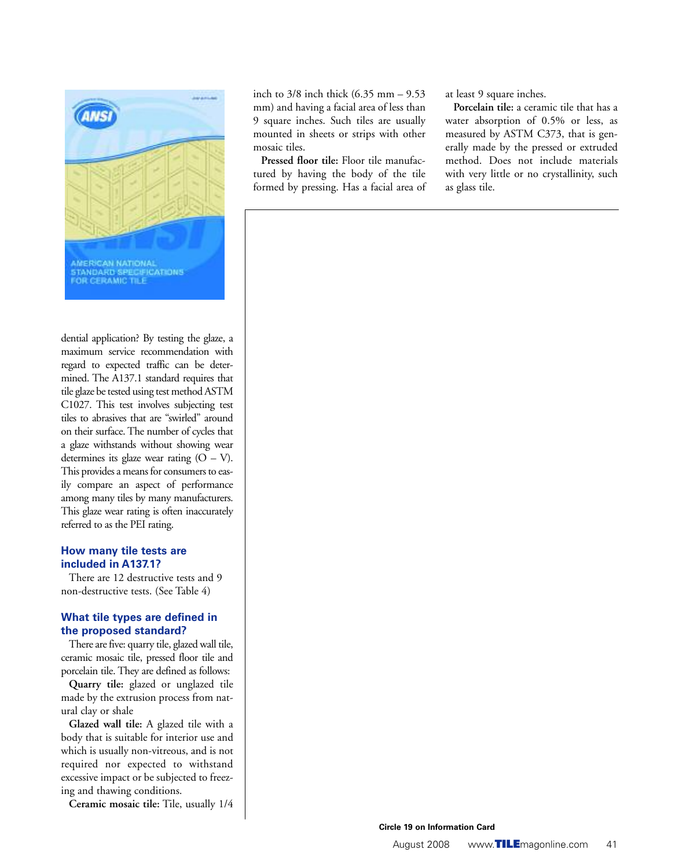

dential application? By testing the glaze, a maximum service recommendation with regard to expected traffic can be determined. The A137.1 standard requires that tile glaze be tested using test method ASTM C1027. This test involves subjecting test tiles to abrasives that are "swirled" around on their surface. The number of cycles that a glaze withstands without showing wear determines its glaze wear rating  $(O - V)$ . This provides a means for consumers to easily compare an aspect of performance among many tiles by many manufacturers. This glaze wear rating is often inaccurately referred to as the PEI rating.

#### **How many tile tests are included in A137.1?**

There are 12 destructive tests and 9 non-destructive tests. (See Table 4)

### **What tile types are defined in the proposed standard?**

There are five: quarry tile, glazed wall tile, ceramic mosaic tile, pressed floor tile and porcelain tile. They are defined as follows:

**Quarry tile:** glazed or unglazed tile made by the extrusion process from natural clay or shale

**Glazed wall tile:** A glazed tile with a body that is suitable for interior use and which is usually non-vitreous, and is not required nor expected to withstand excessive impact or be subjected to freezing and thawing conditions.

**Ceramic mosaic tile:** Tile, usually 1/4

inch to 3/8 inch thick (6.35 mm – 9.53 mm) and having a facial area of less than 9 square inches. Such tiles are usually mounted in sheets or strips with other mosaic tiles.

**Pressed floor tile:** Floor tile manufactured by having the body of the tile formed by pressing. Has a facial area of at least 9 square inches.

**Porcelain tile:** a ceramic tile that has a water absorption of 0.5% or less, as measured by ASTM C373, that is generally made by the pressed or extruded method. Does not include materials with very little or no crystallinity, such as glass tile.